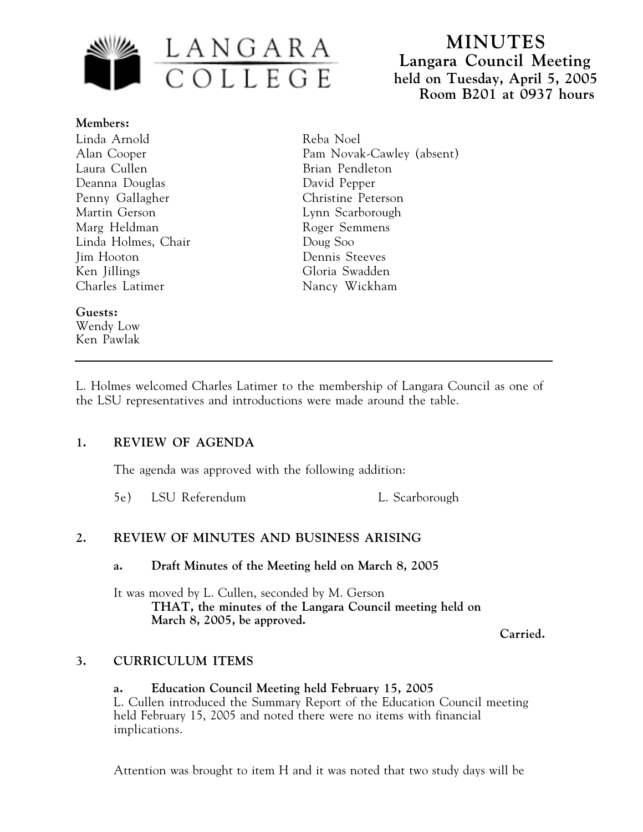

**MINUTES Langara Council Meeting held on Tuesday, April 5, 2005 Room B201 at 0937 hours**

**Members:** Linda Arnold Alan Cooper Laura Cullen Deanna Douglas Penny Gallagher Martin Gerson Marg Heldman Linda Holmes, Chair Jim Hooton Ken Jillings Charles Latimer

### **Guests:**

Wendy Low Ken Pawlak Reba Noel Pam Novak-Cawley (absent) Brian Pendleton David Pepper Christine Peterson Lynn Scarborough Roger Semmens Doug Soo Dennis Steeves Gloria Swadden Nancy Wickham

L. Holmes welcomed Charles Latimer to the membership of Langara Council as one of the LSU representatives and introductions were made around the table.

## **1. REVIEW OF AGENDA**

The agenda was approved with the following addition:

5e) LSU Referendum L. Scarborough

# **2. REVIEW OF MINUTES AND BUSINESS ARISING**

**a. Draft Minutes of the Meeting held on March 8, 2005**

It was moved by L. Cullen, seconded by M. Gerson **THAT, the minutes of the Langara Council meeting held on March 8, 2005, be approved.**

**Carried.**

## **3. CURRICULUM ITEMS**

### **a. Education Council Meeting held February 15, 2005** L. Cullen introduced the Summary Report of the Education Council meeting held February 15, 2005 and noted there were no items with financial implications.

Attention was brought to item H and it was noted that two study days will be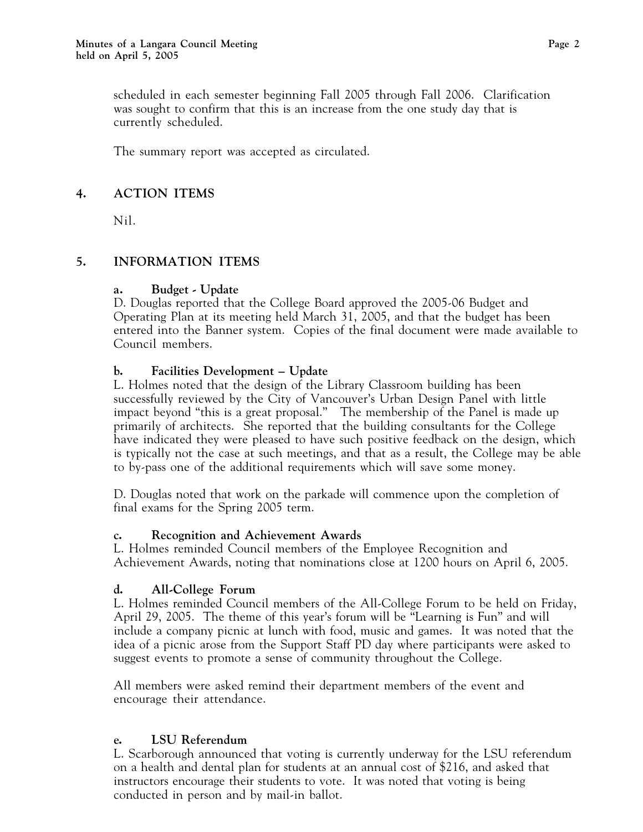scheduled in each semester beginning Fall 2005 through Fall 2006. Clarification was sought to confirm that this is an increase from the one study day that is currently scheduled.

The summary report was accepted as circulated.

## **4. ACTION ITEMS**

Nil.

# **5. INFORMATION ITEMS**

## **a. Budget - Update**

D. Douglas reported that the College Board approved the 2005-06 Budget and Operating Plan at its meeting held March 31, 2005, and that the budget has been entered into the Banner system. Copies of the final document were made available to Council members.

## **b. Facilities Development – Update**

L. Holmes noted that the design of the Library Classroom building has been successfully reviewed by the City of Vancouver's Urban Design Panel with little impact beyond "this is a great proposal." The membership of the Panel is made up primarily of architects. She reported that the building consultants for the College have indicated they were pleased to have such positive feedback on the design, which is typically not the case at such meetings, and that as a result, the College may be able to by-pass one of the additional requirements which will save some money.

D. Douglas noted that work on the parkade will commence upon the completion of final exams for the Spring 2005 term.

## **c. Recognition and Achievement Awards**

L. Holmes reminded Council members of the Employee Recognition and Achievement Awards, noting that nominations close at 1200 hours on April 6, 2005.

# **d. All-College Forum**

L. Holmes reminded Council members of the All-College Forum to be held on Friday, April 29, 2005. The theme of this year's forum will be "Learning is Fun" and will include a company picnic at lunch with food, music and games. It was noted that the idea of a picnic arose from the Support Staff PD day where participants were asked to suggest events to promote a sense of community throughout the College.

All members were asked remind their department members of the event and encourage their attendance.

# **e. LSU Referendum**

L. Scarborough announced that voting is currently underway for the LSU referendum on a health and dental plan for students at an annual cost of \$216, and asked that instructors encourage their students to vote. It was noted that voting is being conducted in person and by mail-in ballot.